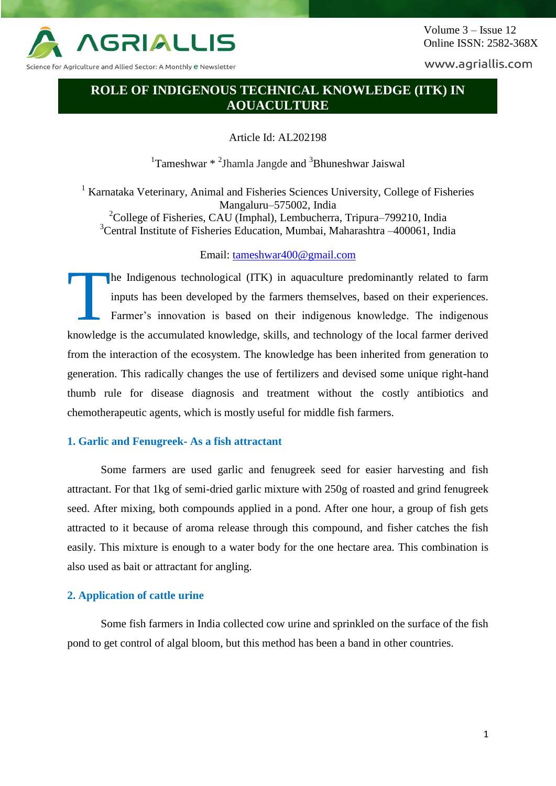

Science for Agriculture and Allied Sector: A Monthly <mark>e N</mark>ewsletter

www.agriallis.com

# **ROLE OF INDIGENOUS TECHNICAL KNOWLEDGE (ITK) IN AQUACULTURE**

Article Id: AL202198

 $1$ Tameshwar  $*$  <sup>2</sup>Jhamla Jangde and  $3$ Bhuneshwar Jaiswal

<sup>1</sup> Karnataka Veterinary, Animal and Fisheries Sciences University, College of Fisheries Mangaluru–575002, India

<sup>2</sup>College of Fisheries, CAU (Imphal), Lembucherra, Tripura–799210, India <sup>3</sup>Central Institute of Fisheries Education, Mumbai, Maharashtra –400061, India

# Email: [tameshwar400@gmail.com](mailto:tameshwar400@gmail.com)

he Indigenous technological (ITK) in aquaculture predominantly related to farm inputs has been developed by the farmers themselves, based on their experiences. Farmer's innovation is based on their indigenous knowledge. The indigenous knowledge is the accumulated knowledge, skills, and technology of the local farmer derived from the interaction of the ecosystem. The knowledge has been inherited from generation to generation. This radically changes the use of fertilizers and devised some unique right-hand thumb rule for disease diagnosis and treatment without the costly antibiotics and chemotherapeutic agents, which is mostly useful for middle fish farmers. T

## **1. Garlic and Fenugreek- As a fish attractant**

Some farmers are used garlic and fenugreek seed for easier harvesting and fish attractant. For that 1kg of semi-dried garlic mixture with 250g of roasted and grind fenugreek seed. After mixing, both compounds applied in a pond. After one hour, a group of fish gets attracted to it because of aroma release through this compound, and fisher catches the fish easily. This mixture is enough to a water body for the one hectare area. This combination is also used as bait or attractant for angling.

## **2. Application of cattle urine**

Some fish farmers in India collected cow urine and sprinkled on the surface of the fish pond to get control of algal bloom, but this method has been a band in other countries.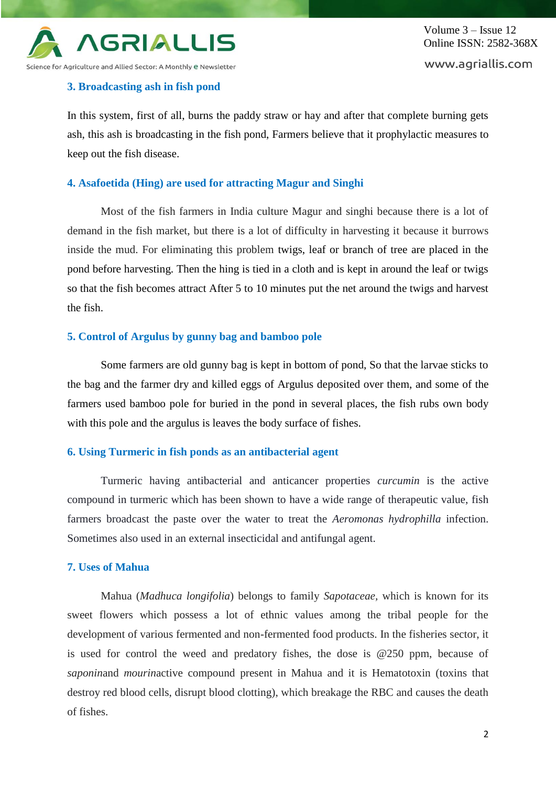

Volume 3 – Issue 12 Online ISSN: 2582-368X www.agriallis.com

# **3. Broadcasting ash in fish pond**

In this system, first of all, burns the paddy straw or hay and after that complete burning gets ash, this ash is broadcasting in the fish pond, Farmers believe that it prophylactic measures to keep out the fish disease.

# **4. Asafoetida (Hing) are used for attracting Magur and Singhi**

Most of the fish farmers in India culture Magur and singhi because there is a lot of demand in the fish market, but there is a lot of difficulty in harvesting it because it burrows inside the mud. For eliminating this problem twigs, leaf or branch of tree are placed in the pond before harvesting. Then the hing is tied in a cloth and is kept in around the leaf or twigs so that the fish becomes attract After 5 to 10 minutes put the net around the twigs and harvest the fish.

# **5. Control of Argulus by gunny bag and bamboo pole**

Some farmers are old gunny bag is kept in bottom of pond, So that the larvae sticks to the bag and the farmer dry and killed eggs of Argulus deposited over them, and some of the farmers used bamboo pole for buried in the pond in several places, the fish rubs own body with this pole and the argulus is leaves the body surface of fishes.

# **6. Using Turmeric in fish ponds as an antibacterial agent**

Turmeric having antibacterial and anticancer properties *curcumin* is the active compound in turmeric which has been shown to have a wide range of therapeutic value, fish farmers broadcast the paste over the water to treat the *Aeromonas hydrophilla* infection. Sometimes also used in an external insecticidal and antifungal agent.

# **7. Uses of Mahua**

Mahua (*Madhuca longifolia*) belongs to family *Sapotaceae,* which is known for its sweet flowers which possess a lot of ethnic values among the tribal people for the development of various fermented and non-fermented food products. In the fisheries sector, it is used for control the weed and predatory fishes, the dose is @250 ppm, because of *saponin*and *mourin*active compound present in Mahua and it is Hematotoxin (toxins that destroy red blood cells, disrupt blood clotting), which breakage the RBC and causes the death of fishes.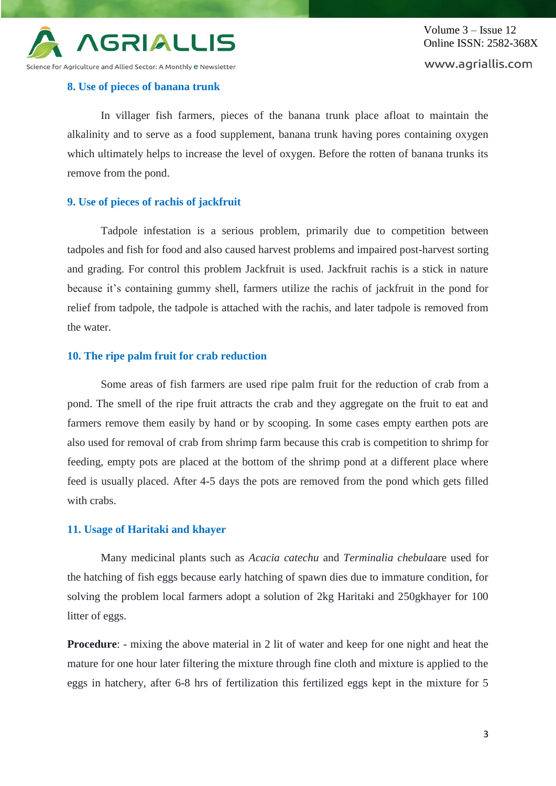

Volume 3 – Issue 12 Online ISSN: 2582-368X www.agriallis.com

## **8. Use of pieces of banana trunk**

In villager fish farmers, pieces of the banana trunk place afloat to maintain the alkalinity and to serve as a food supplement, banana trunk having pores containing oxygen which ultimately helps to increase the level of oxygen. Before the rotten of banana trunks its remove from the pond.

## **9. Use of pieces of rachis of jackfruit**

Tadpole infestation is a serious problem, primarily due to competition between tadpoles and fish for food and also caused harvest problems and impaired post-harvest sorting and grading. For control this problem Jackfruit is used. Jackfruit rachis is a stick in nature because it's containing gummy shell, farmers utilize the rachis of jackfruit in the pond for relief from tadpole, the tadpole is attached with the rachis, and later tadpole is removed from the water.

# **10. The ripe palm fruit for crab reduction**

Some areas of fish farmers are used ripe palm fruit for the reduction of crab from a pond. The smell of the ripe fruit attracts the crab and they aggregate on the fruit to eat and farmers remove them easily by hand or by scooping. In some cases empty earthen pots are also used for removal of crab from shrimp farm because this crab is competition to shrimp for feeding, empty pots are placed at the bottom of the shrimp pond at a different place where feed is usually placed. After 4-5 days the pots are removed from the pond which gets filled with crabs.

#### **11. Usage of Haritaki and khayer**

Many medicinal plants such as *Acacia catechu* and *Terminalia chebula*are used for the hatching of fish eggs because early hatching of spawn dies due to immature condition, for solving the problem local farmers adopt a solution of 2kg Haritaki and 250gkhayer for 100 litter of eggs.

**Procedure:** - mixing the above material in 2 lit of water and keep for one night and heat the mature for one hour later filtering the mixture through fine cloth and mixture is applied to the eggs in hatchery, after 6-8 hrs of fertilization this fertilized eggs kept in the mixture for 5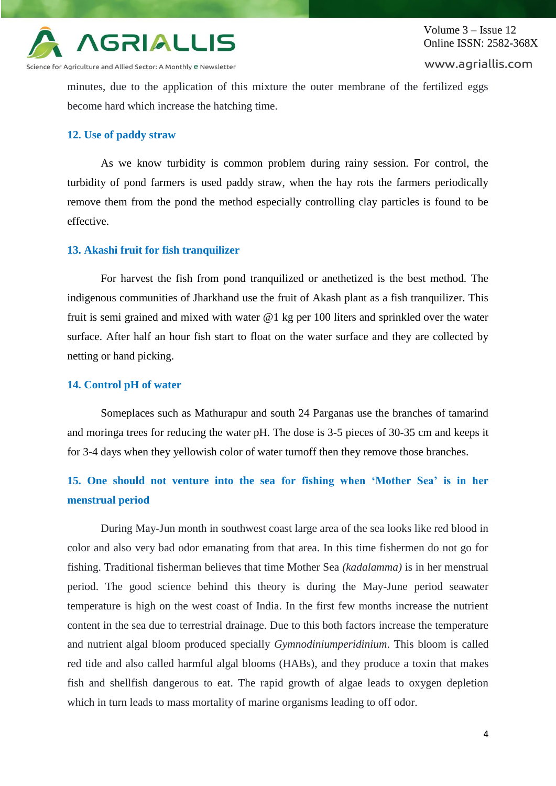

icience for Agriculture and Allied Sector: A Monthly e Newsletter

www.agriallis.com

minutes, due to the application of this mixture the outer membrane of the fertilized eggs become hard which increase the hatching time.

### **12. Use of paddy straw**

As we know turbidity is common problem during rainy session. For control, the turbidity of pond farmers is used paddy straw, when the hay rots the farmers periodically remove them from the pond the method especially controlling clay particles is found to be effective.

## **13. Akashi fruit for fish tranquilizer**

For harvest the fish from pond tranquilized or anethetized is the best method. The indigenous communities of Jharkhand use the fruit of Akash plant as a fish tranquilizer. This fruit is semi grained and mixed with water @1 kg per 100 liters and sprinkled over the water surface. After half an hour fish start to float on the water surface and they are collected by netting or hand picking.

### **14. Control pH of water**

Someplaces such as Mathurapur and south 24 Parganas use the branches of tamarind and moringa trees for reducing the water pH. The dose is 3-5 pieces of 30-35 cm and keeps it for 3-4 days when they yellowish color of water turnoff then they remove those branches.

# **15. One should not venture into the sea for fishing when 'Mother Sea' is in her menstrual period**

During May-Jun month in southwest coast large area of the sea looks like red blood in color and also very bad odor emanating from that area. In this time fishermen do not go for fishing. Traditional fisherman believes that time Mother Sea *(kadalamma)* is in her menstrual period. The good science behind this theory is during the May-June period seawater temperature is high on the west coast of India. In the first few months increase the nutrient content in the sea due to terrestrial drainage. Due to this both factors increase the temperature and nutrient algal bloom produced specially *Gymnodiniumperidinium*. This bloom is called red tide and also called harmful algal blooms (HABs), and they produce a toxin that makes fish and shellfish dangerous to eat. The rapid growth of algae leads to oxygen depletion which in turn leads to mass mortality of marine organisms leading to off odor.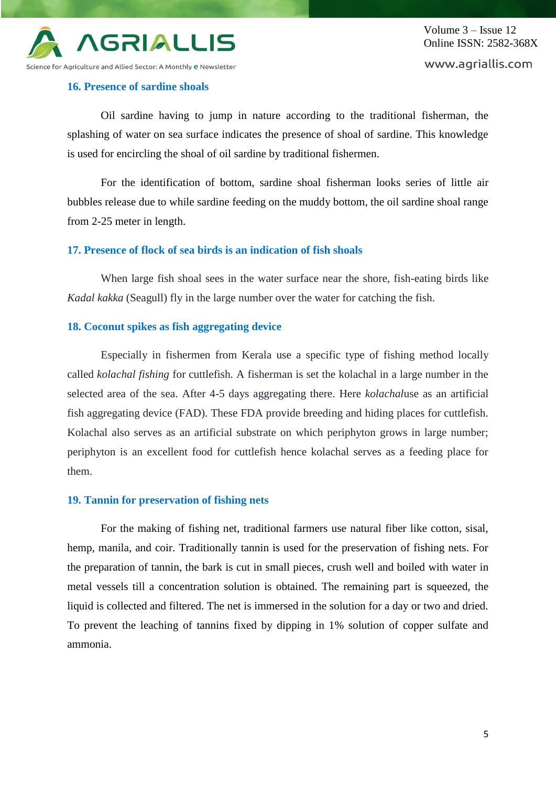

Volume 3 – Issue 12 Online ISSN: 2582-368X www.agriallis.com

## **16. Presence of sardine shoals**

Oil sardine having to jump in nature according to the traditional fisherman, the splashing of water on sea surface indicates the presence of shoal of sardine. This knowledge is used for encircling the shoal of oil sardine by traditional fishermen.

For the identification of bottom, sardine shoal fisherman looks series of little air bubbles release due to while sardine feeding on the muddy bottom, the oil sardine shoal range from 2-25 meter in length.

## **17. Presence of flock of sea birds is an indication of fish shoals**

When large fish shoal sees in the water surface near the shore, fish-eating birds like *Kadal kakka* (Seagull) fly in the large number over the water for catching the fish.

### **18. Coconut spikes as fish aggregating device**

Especially in fishermen from Kerala use a specific type of fishing method locally called *kolachal fishing* for cuttlefish. A fisherman is set the kolachal in a large number in the selected area of the sea. After 4-5 days aggregating there. Here *kolachal*use as an artificial fish aggregating device (FAD). These FDA provide breeding and hiding places for cuttlefish. Kolachal also serves as an artificial substrate on which periphyton grows in large number; periphyton is an excellent food for cuttlefish hence kolachal serves as a feeding place for them.

### **19. Tannin for preservation of fishing nets**

For the making of fishing net, traditional farmers use natural fiber like cotton, sisal, hemp, manila, and coir. Traditionally tannin is used for the preservation of fishing nets. For the preparation of tannin, the bark is cut in small pieces, crush well and boiled with water in metal vessels till a concentration solution is obtained. The remaining part is squeezed, the liquid is collected and filtered. The net is immersed in the solution for a day or two and dried. To prevent the leaching of tannins fixed by dipping in 1% solution of copper sulfate and ammonia.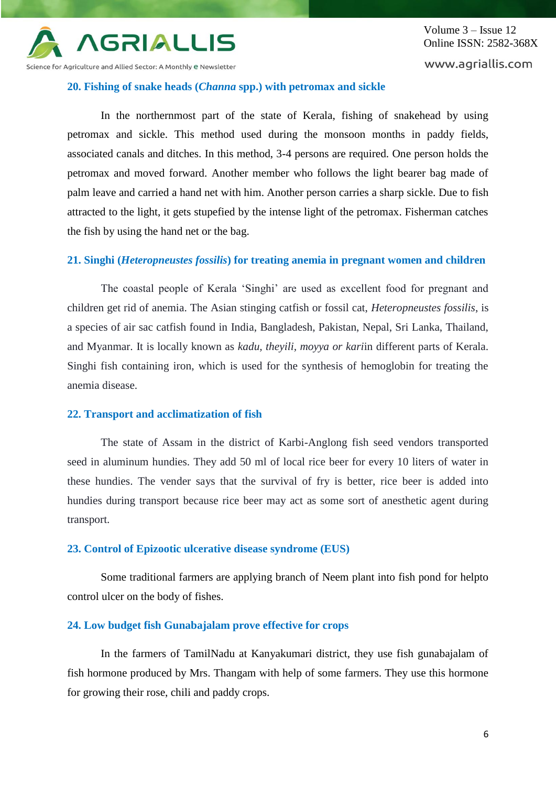

Science for Agriculture and Allied Sector: A Monthly <mark>e Newsletter</mark>

### **20. Fishing of snake heads (***Channa* **spp.) with petromax and sickle**

In the northernmost part of the state of Kerala, fishing of snakehead by using petromax and sickle. This method used during the monsoon months in paddy fields, associated canals and ditches. In this method, 3-4 persons are required. One person holds the petromax and moved forward. Another member who follows the light bearer bag made of palm leave and carried a hand net with him. Another person carries a sharp sickle. Due to fish attracted to the light, it gets stupefied by the intense light of the petromax. Fisherman catches the fish by using the hand net or the bag.

# **21. Singhi (***Heteropneustes fossilis***) for treating anemia in pregnant women and children**

The coastal people of Kerala 'Singhi' are used as excellent food for pregnant and children get rid of anemia. The Asian stinging catfish or fossil cat, *Heteropneustes fossilis*, is a species of air sac catfish found in India, Bangladesh, Pakistan, Nepal, Sri Lanka, Thailand, and Myanmar. It is locally known as *kadu, theyili, moyya or kari*in different parts of Kerala. Singhi fish containing iron, which is used for the synthesis of hemoglobin for treating the anemia disease.

## **22. Transport and acclimatization of fish**

The state of Assam in the district of Karbi-Anglong fish seed vendors transported seed in aluminum hundies. They add 50 ml of local rice beer for every 10 liters of water in these hundies. The vender says that the survival of fry is better, rice beer is added into hundies during transport because rice beer may act as some sort of anesthetic agent during transport.

## **23. Control of Epizootic ulcerative disease syndrome (EUS)**

Some traditional farmers are applying branch of Neem plant into fish pond for helpto control ulcer on the body of fishes.

### **24. Low budget fish Gunabajalam prove effective for crops**

In the farmers of TamilNadu at Kanyakumari district, they use fish gunabajalam of fish hormone produced by Mrs. Thangam with help of some farmers. They use this hormone for growing their rose, chili and paddy crops.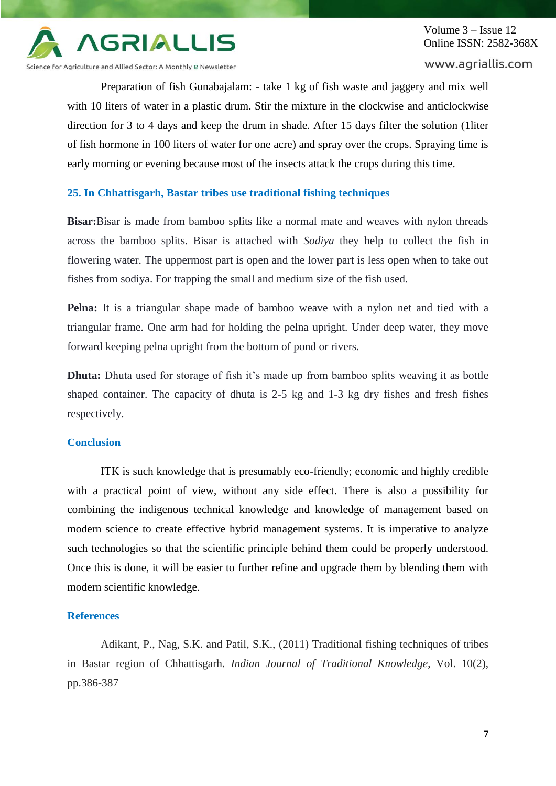

Science for Agriculture and Allied Sector: A Monthly e Newsletter

www.agriallis.com

Preparation of fish Gunabajalam: - take 1 kg of fish waste and jaggery and mix well with 10 liters of water in a plastic drum. Stir the mixture in the clockwise and anticlockwise direction for 3 to 4 days and keep the drum in shade. After 15 days filter the solution (1liter of fish hormone in 100 liters of water for one acre) and spray over the crops. Spraying time is early morning or evening because most of the insects attack the crops during this time.

# **25. In Chhattisgarh, Bastar tribes use traditional fishing techniques**

**Bisar:**Bisar is made from bamboo splits like a normal mate and weaves with nylon threads across the bamboo splits. Bisar is attached with *Sodiya* they help to collect the fish in flowering water. The uppermost part is open and the lower part is less open when to take out fishes from sodiya. For trapping the small and medium size of the fish used.

**Pelna:** It is a triangular shape made of bamboo weave with a nylon net and tied with a triangular frame. One arm had for holding the pelna upright. Under deep water, they move forward keeping pelna upright from the bottom of pond or rivers.

**Dhuta:** Dhuta used for storage of fish it's made up from bamboo splits weaving it as bottle shaped container. The capacity of dhuta is 2-5 kg and 1-3 kg dry fishes and fresh fishes respectively.

# **Conclusion**

ITK is such knowledge that is presumably eco-friendly; economic and highly credible with a practical point of view, without any side effect. There is also a possibility for combining the indigenous technical knowledge and knowledge of management based on modern science to create effective hybrid management systems. It is imperative to analyze such technologies so that the scientific principle behind them could be properly understood. Once this is done, it will be easier to further refine and upgrade them by blending them with modern scientific knowledge.

### **References**

Adikant, P., Nag, S.K. and Patil, S.K., (2011) Traditional fishing techniques of tribes in Bastar region of Chhattisgarh. *Indian Journal of Traditional Knowledge*, Vol. 10(2), pp.386-387